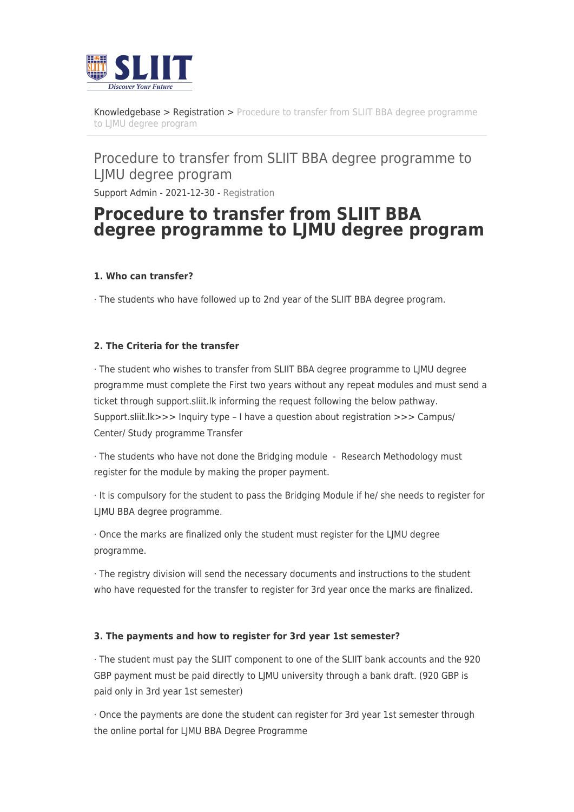

[Knowledgebase](https://support.sliit.lk/kb) > [Registration](https://support.sliit.lk/kb/registration) > [Procedure to transfer from SLIIT BBA degree programme](https://support.sliit.lk/kb/articles/procedure-to-transfer-from-sliit-bba-degree-programme-to-ljmu-degree-program) [to LJMU degree program](https://support.sliit.lk/kb/articles/procedure-to-transfer-from-sliit-bba-degree-programme-to-ljmu-degree-program)

## Procedure to transfer from SLIIT BBA degree programme to LJMU degree program Support Admin - 2021-12-30 - [Registration](https://support.sliit.lk/kb/registration)

# **Procedure to transfer from SLIIT BBA degree programme to LJMU degree program**

#### **1. Who can transfer?**

· The students who have followed up to 2nd year of the SLIIT BBA degree program.

#### **2. The Criteria for the transfer**

· The student who wishes to transfer from SLIIT BBA degree programme to LJMU degree programme must complete the First two years without any repeat modules and must send a ticket through support.sliit.lk informing the request following the below pathway. Support.sliit.lk>>> Inquiry type – I have a question about registration >>> Campus/ Center/ Study programme Transfer

· The students who have not done the Bridging module - Research Methodology must register for the module by making the proper payment.

· It is compulsory for the student to pass the Bridging Module if he/ she needs to register for LJMU BBA degree programme.

· Once the marks are finalized only the student must register for the LJMU degree programme.

· The registry division will send the necessary documents and instructions to the student who have requested for the transfer to register for 3rd year once the marks are finalized.

#### **3. The payments and how to register for 3rd year 1st semester?**

· The student must pay the SLIIT component to one of the SLIIT bank accounts and the 920 GBP payment must be paid directly to LJMU university through a bank draft. (920 GBP is paid only in 3rd year 1st semester)

· Once the payments are done the student can register for 3rd year 1st semester through the online portal for LJMU BBA Degree Programme